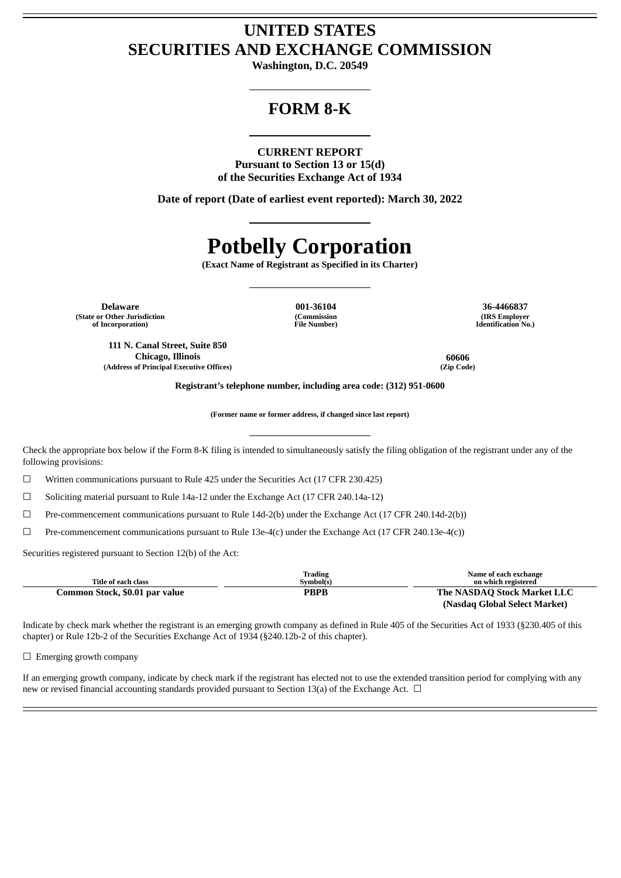# **UNITED STATES SECURITIES AND EXCHANGE COMMISSION**

**Washington, D.C. 20549**

# **FORM 8-K**

## **CURRENT REPORT**

**Pursuant to Section 13 or 15(d) of the Securities Exchange Act of 1934**

**Date of report (Date of earliest event reported): March 30, 2022**

# **Potbelly Corporation**

**(Exact Name of Registrant as Specified in its Charter)**

**Delaware 001-36104 36-4466837 (State or Other Jurisdiction of Incorporation)**

**111 N. Canal Street, Suite 850 Chicago, Illinois 60606 (Address of Principal Executive Offices) (Zip Code)**

**(Commission File Number)**

**(IRS Employer Identification No.)**

**Registrant's telephone number, including area code: (312) 951-0600**

**(Former name or former address, if changed since last report)**

Check the appropriate box below if the Form 8-K filing is intended to simultaneously satisfy the filing obligation of the registrant under any of the following provisions:

 $\Box$  Written communications pursuant to Rule 425 under the Securities Act (17 CFR 230.425)

 $\Box$  Soliciting material pursuant to Rule 14a-12 under the Exchange Act (17 CFR 240.14a-12)

☐ Pre-commencement communications pursuant to Rule 14d-2(b) under the Exchange Act (17 CFR 240.14d-2(b))

 $\Box$  Pre-commencement communications pursuant to Rule 13e-4(c) under the Exchange Act (17 CFR 240.13e-4(c))

Securities registered pursuant to Section 12(b) of the Act:

|                                | Trading   | Name of each exchange         |
|--------------------------------|-----------|-------------------------------|
| Title of each class            | Symbol(s) | on which registered           |
| Common Stock, \$0.01 par value | PBPB      | The NASDAQ Stock Market LLC   |
|                                |           | (Nasdaq Global Select Market) |

Indicate by check mark whether the registrant is an emerging growth company as defined in Rule 405 of the Securities Act of 1933 (§230.405 of this chapter) or Rule 12b-2 of the Securities Exchange Act of 1934 (§240.12b-2 of this chapter).

 $\Box$  Emerging growth company

If an emerging growth company, indicate by check mark if the registrant has elected not to use the extended transition period for complying with any new or revised financial accounting standards provided pursuant to Section 13(a) of the Exchange Act.  $\Box$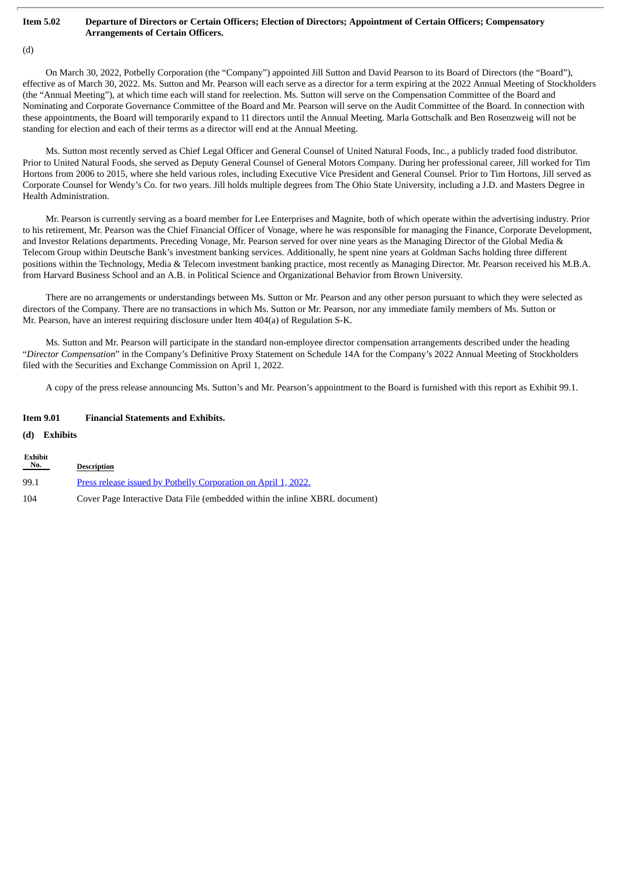#### Item 5.02 Departure of Directors or Certain Officers; Election of Directors; Appointment of Certain Officers; Compensatory **Arrangements of Certain Officers.**

## (d)

On March 30, 2022, Potbelly Corporation (the "Company") appointed Jill Sutton and David Pearson to its Board of Directors (the "Board"), effective as of March 30, 2022. Ms. Sutton and Mr. Pearson will each serve as a director for a term expiring at the 2022 Annual Meeting of Stockholders (the "Annual Meeting"), at which time each will stand for reelection. Ms. Sutton will serve on the Compensation Committee of the Board and Nominating and Corporate Governance Committee of the Board and Mr. Pearson will serve on the Audit Committee of the Board. In connection with these appointments, the Board will temporarily expand to 11 directors until the Annual Meeting. Marla Gottschalk and Ben Rosenzweig will not be standing for election and each of their terms as a director will end at the Annual Meeting.

Ms. Sutton most recently served as Chief Legal Officer and General Counsel of United Natural Foods, Inc., a publicly traded food distributor. Prior to United Natural Foods, she served as Deputy General Counsel of General Motors Company. During her professional career, Jill worked for Tim Hortons from 2006 to 2015, where she held various roles, including Executive Vice President and General Counsel. Prior to Tim Hortons, Jill served as Corporate Counsel for Wendy's Co. for two years. Jill holds multiple degrees from The Ohio State University, including a J.D. and Masters Degree in Health Administration.

Mr. Pearson is currently serving as a board member for Lee Enterprises and Magnite, both of which operate within the advertising industry. Prior to his retirement, Mr. Pearson was the Chief Financial Officer of Vonage, where he was responsible for managing the Finance, Corporate Development, and Investor Relations departments. Preceding Vonage, Mr. Pearson served for over nine years as the Managing Director of the Global Media & Telecom Group within Deutsche Bank's investment banking services. Additionally, he spent nine years at Goldman Sachs holding three different positions within the Technology, Media & Telecom investment banking practice, most recently as Managing Director. Mr. Pearson received his M.B.A. from Harvard Business School and an A.B. in Political Science and Organizational Behavior from Brown University.

There are no arrangements or understandings between Ms. Sutton or Mr. Pearson and any other person pursuant to which they were selected as directors of the Company. There are no transactions in which Ms. Sutton or Mr. Pearson, nor any immediate family members of Ms. Sutton or Mr. Pearson, have an interest requiring disclosure under Item 404(a) of Regulation S-K.

Ms. Sutton and Mr. Pearson will participate in the standard non-employee director compensation arrangements described under the heading "*Director Compensation*" in the Company's Definitive Proxy Statement on Schedule 14A for the Company's 2022 Annual Meeting of Stockholders filed with the Securities and Exchange Commission on April 1, 2022.

A copy of the press release announcing Ms. Sutton's and Mr. Pearson's appointment to the Board is furnished with this report as Exhibit 99.1.

#### **Item 9.01 Financial Statements and Exhibits.**

#### **(d) Exhibits**

**Exhibit**

| EXIMDIU<br>$N_{0}$ . | <b>Description</b>                                                          |
|----------------------|-----------------------------------------------------------------------------|
| 99.1                 | Press release issued by Potbelly Corporation on April 1, 2022.              |
| 104                  | Cover Page Interactive Data File (embedded within the inline XBRL document) |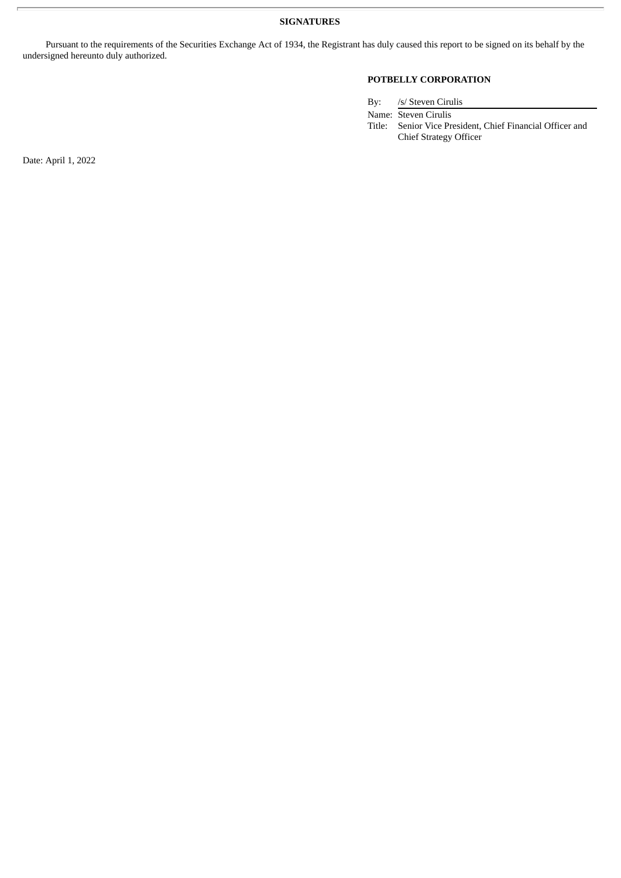**SIGNATURES**

Pursuant to the requirements of the Securities Exchange Act of 1934, the Registrant has duly caused this report to be signed on its behalf by the undersigned hereunto duly authorized.

# **POTBELLY CORPORATION**

By: /s/ Steven Cirulis

Name: Steven Cirulis Title: Senior Vice President, Chief Financial Officer and Chief Strategy Officer

Date: April 1, 2022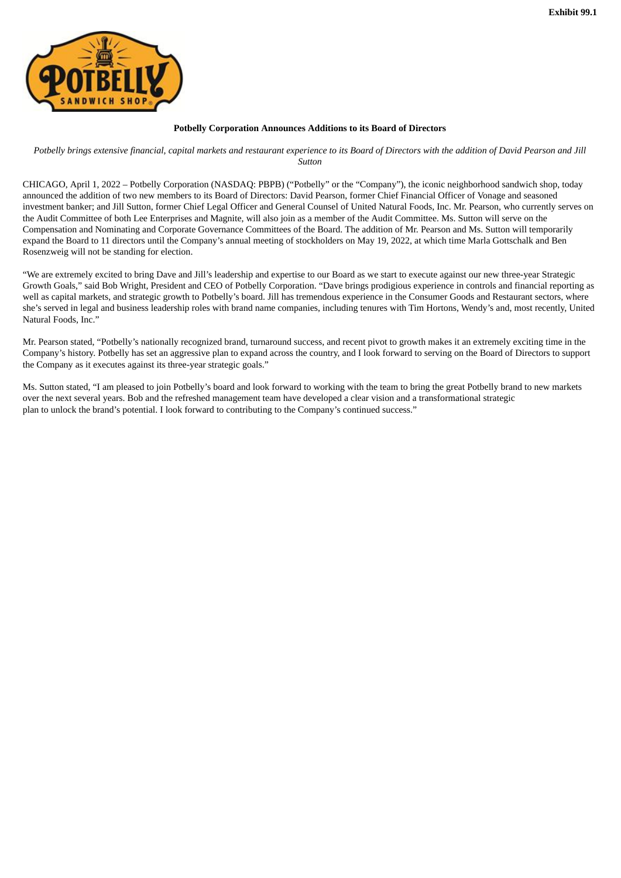<span id="page-3-0"></span>

#### **Potbelly Corporation Announces Additions to its Board of Directors**

Potbelly brings extensive financial, capital markets and restaurant experience to its Board of Directors with the addition of David Pearson and Jill *Sutton*

CHICAGO, April 1, 2022 – Potbelly Corporation (NASDAQ: PBPB) ("Potbelly" or the "Company"), the iconic neighborhood sandwich shop, today announced the addition of two new members to its Board of Directors: David Pearson, former Chief Financial Officer of Vonage and seasoned investment banker; and Jill Sutton, former Chief Legal Officer and General Counsel of United Natural Foods, Inc. Mr. Pearson, who currently serves on the Audit Committee of both Lee Enterprises and Magnite, will also join as a member of the Audit Committee. Ms. Sutton will serve on the Compensation and Nominating and Corporate Governance Committees of the Board. The addition of Mr. Pearson and Ms. Sutton will temporarily expand the Board to 11 directors until the Company's annual meeting of stockholders on May 19, 2022, at which time Marla Gottschalk and Ben Rosenzweig will not be standing for election.

"We are extremely excited to bring Dave and Jill's leadership and expertise to our Board as we start to execute against our new three-year Strategic Growth Goals," said Bob Wright, President and CEO of Potbelly Corporation. "Dave brings prodigious experience in controls and financial reporting as well as capital markets, and strategic growth to Potbelly's board. Jill has tremendous experience in the Consumer Goods and Restaurant sectors, where she's served in legal and business leadership roles with brand name companies, including tenures with Tim Hortons, Wendy's and, most recently, United Natural Foods, Inc."

Mr. Pearson stated, "Potbelly's nationally recognized brand, turnaround success, and recent pivot to growth makes it an extremely exciting time in the Company's history. Potbelly has set an aggressive plan to expand across the country, and I look forward to serving on the Board of Directors to support the Company as it executes against its three-year strategic goals."

Ms. Sutton stated, "I am pleased to join Potbelly's board and look forward to working with the team to bring the great Potbelly brand to new markets over the next several years. Bob and the refreshed management team have developed a clear vision and a transformational strategic plan to unlock the brand's potential. I look forward to contributing to the Company's continued success."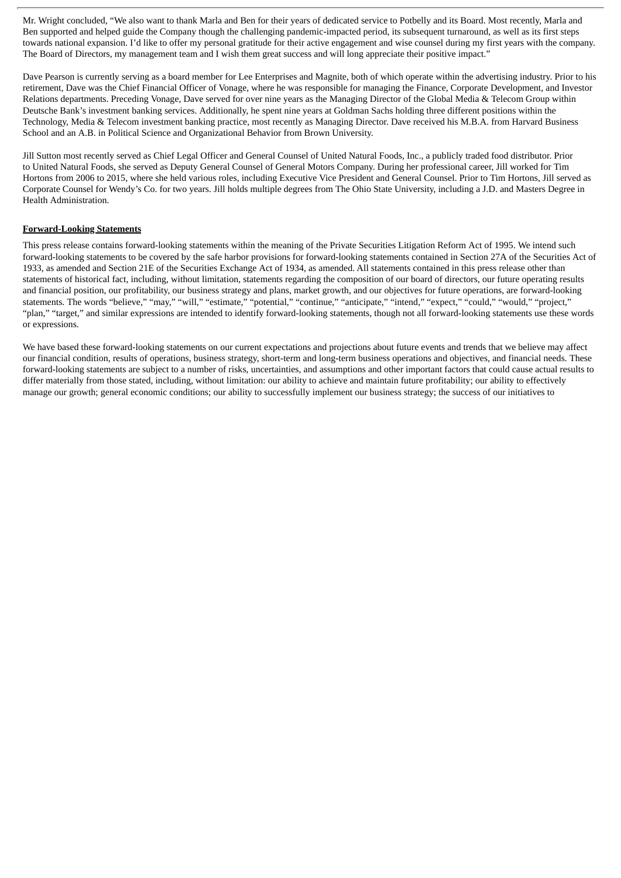Mr. Wright concluded, "We also want to thank Marla and Ben for their years of dedicated service to Potbelly and its Board. Most recently, Marla and Ben supported and helped guide the Company though the challenging pandemic-impacted period, its subsequent turnaround, as well as its first steps towards national expansion. I'd like to offer my personal gratitude for their active engagement and wise counsel during my first years with the company. The Board of Directors, my management team and I wish them great success and will long appreciate their positive impact."

Dave Pearson is currently serving as a board member for Lee Enterprises and Magnite, both of which operate within the advertising industry. Prior to his retirement, Dave was the Chief Financial Officer of Vonage, where he was responsible for managing the Finance, Corporate Development, and Investor Relations departments. Preceding Vonage, Dave served for over nine years as the Managing Director of the Global Media & Telecom Group within Deutsche Bank's investment banking services. Additionally, he spent nine years at Goldman Sachs holding three different positions within the Technology, Media & Telecom investment banking practice, most recently as Managing Director. Dave received his M.B.A. from Harvard Business School and an A.B. in Political Science and Organizational Behavior from Brown University.

Jill Sutton most recently served as Chief Legal Officer and General Counsel of United Natural Foods, Inc., a publicly traded food distributor. Prior to United Natural Foods, she served as Deputy General Counsel of General Motors Company. During her professional career, Jill worked for Tim Hortons from 2006 to 2015, where she held various roles, including Executive Vice President and General Counsel. Prior to Tim Hortons, Jill served as Corporate Counsel for Wendy's Co. for two years. Jill holds multiple degrees from The Ohio State University, including a J.D. and Masters Degree in Health Administration.

#### **Forward-Looking Statements**

This press release contains forward-looking statements within the meaning of the Private Securities Litigation Reform Act of 1995. We intend such forward-looking statements to be covered by the safe harbor provisions for forward-looking statements contained in Section 27A of the Securities Act of 1933, as amended and Section 21E of the Securities Exchange Act of 1934, as amended. All statements contained in this press release other than statements of historical fact, including, without limitation, statements regarding the composition of our board of directors, our future operating results and financial position, our profitability, our business strategy and plans, market growth, and our objectives for future operations, are forward-looking statements. The words "believe," "may," "will," "estimate," "potential," "continue," "anticipate," "intend," "expect," "could," "would," "project," "plan," "target," and similar expressions are intended to identify forward-looking statements, though not all forward-looking statements use these words or expressions.

We have based these forward-looking statements on our current expectations and projections about future events and trends that we believe may affect our financial condition, results of operations, business strategy, short-term and long-term business operations and objectives, and financial needs. These forward-looking statements are subject to a number of risks, uncertainties, and assumptions and other important factors that could cause actual results to differ materially from those stated, including, without limitation: our ability to achieve and maintain future profitability; our ability to effectively manage our growth; general economic conditions; our ability to successfully implement our business strategy; the success of our initiatives to